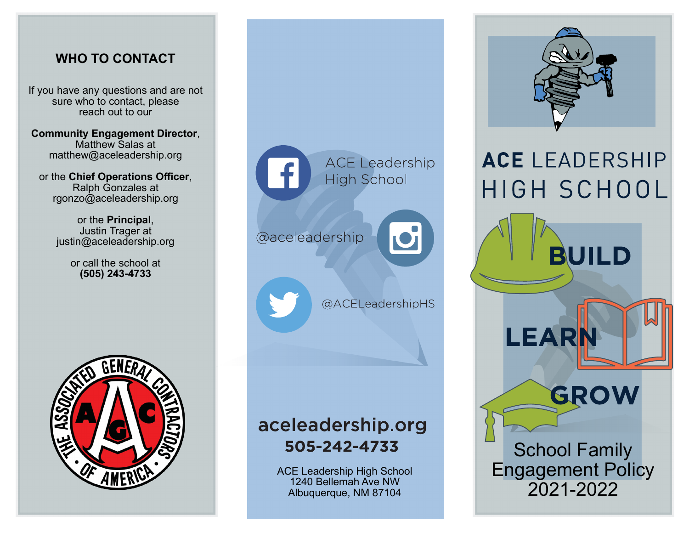#### **WHO TO CONTACT**

If you have any questions and are not sure who to contact, please reach out to our

**Community Engagement Director**, Matthew Salas at matthew@aceleadership.org

or the **Chief Operations Officer**, Ralph Gonzales at rgonzo@aceleadership.org

> or the **Principal**, Justin Trager at justin@aceleadership.org

> > or call the school at **(505) 243-4733**





## aceleadership.org 505-242-4733

ACE Leadership High School 1240 Bellemah Ave NW Albuquerque, NM 87104